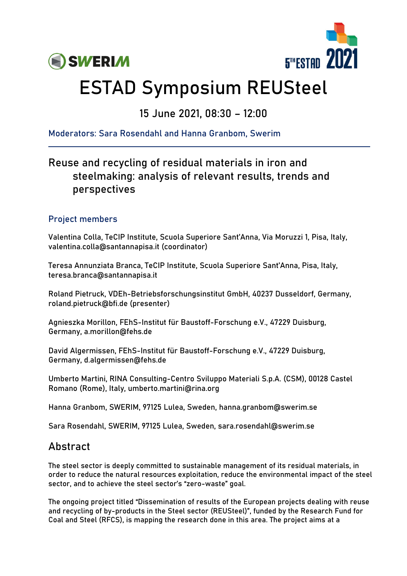



# ESTAD Symposium REUSteel

## 15 June 2021, 08:30 – 12:00

Moderators: Sara Rosendahl and Hanna Granbom, Swerim

## Reuse and recycling of residual materials in iron and steelmaking: analysis of relevant results, trends and perspectives

#### Project members

Valentina Colla, TeCIP Institute, Scuola Superiore Sant'Anna, Via Moruzzi 1, Pisa, Italy, valentina.colla@santannapisa.it (coordinator)

Teresa Annunziata Branca, TeCIP Institute, Scuola Superiore Sant'Anna, Pisa, Italy, teresa.branca@santannapisa.it

Roland Pietruck, VDEh-Betriebsforschungsinstitut GmbH, 40237 Dusseldorf, Germany, roland.pietruck@bfi.de (presenter)

Agnieszka Morillon, FEhS-Institut für Baustoff-Forschung e.V., 47229 Duisburg, Germany, a.morillon@fehs.de

David Algermissen, FEhS-Institut für Baustoff-Forschung e.V., 47229 Duisburg, Germany, d.algermissen@fehs.de

Umberto Martini, RINA Consulting-Centro Sviluppo Materiali S.p.A. (CSM), 00128 Castel Romano (Rome), Italy, umberto.martini@rina.org

Hanna Granbom, SWERIM, 97125 Lulea, Sweden, hanna.granbom@swerim.se

Sara Rosendahl, SWERIM, 97125 Lulea, Sweden, sara.rosendahl@swerim.se

### Abstract

The steel sector is deeply committed to sustainable management of its residual materials, in order to reduce the natural resources exploitation, reduce the environmental impact of the steel sector, and to achieve the steel sector's "zero-waste" goal.

The ongoing project titled "Dissemination of results of the European projects dealing with reuse and recycling of by-products in the Steel sector (REUSteel)", funded by the Research Fund for Coal and Steel (RFCS), is mapping the research done in this area. The project aims at a